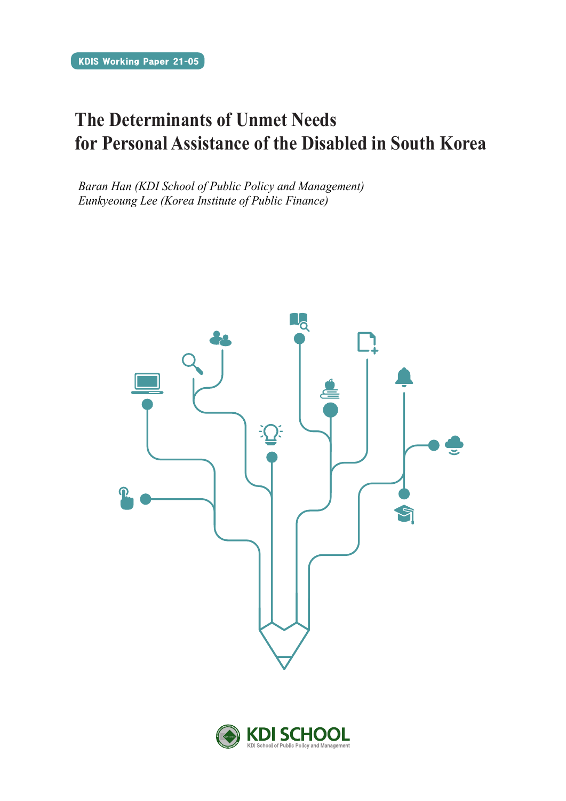# **The Determinants of Unmet Needs for Personal Assistance of the Disabled in South Korea**

*Baran Han (KDI School of Public Policy and Management) Eunkyeoung Lee (Korea Institute of Public Finance)*



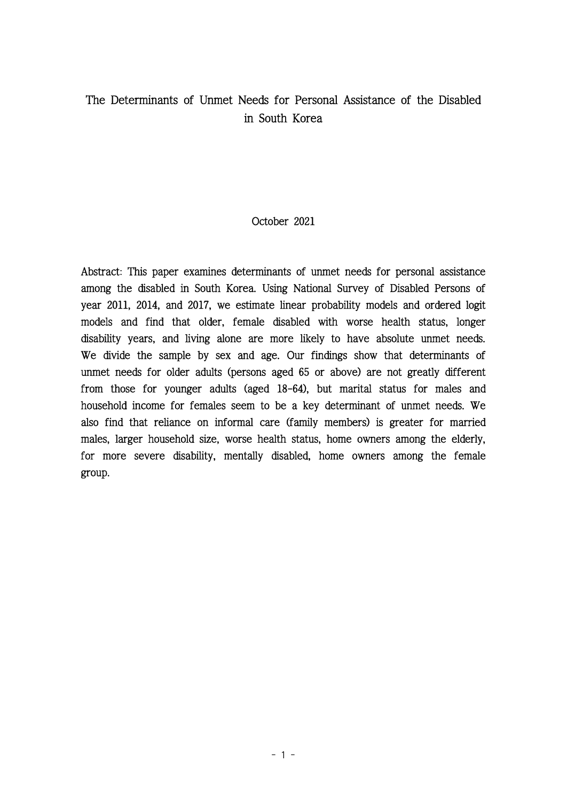# The Determinants of Unmet Needs for Personal Assistance of the Disabled in South Korea

# October 2021

Abstract: This paper examines determinants of unmet needs for personal assistance among the disabled in South Korea. Using National Survey of Disabled Persons of year 2011, 2014, and 2017, we estimate linear probability models and ordered logit models and find that older, female disabled with worse health status, longer disability years, and living alone are more likely to have absolute unmet needs. We divide the sample by sex and age. Our findings show that determinants of unmet needs for older adults (persons aged 65 or above) are not greatly different from those for younger adults (aged 18-64), but marital status for males and household income for females seem to be a key determinant of unmet needs. We also find that reliance on informal care (family members) is greater for married males, larger household size, worse health status, home owners among the elderly, for more severe disability, mentally disabled, home owners among the female group.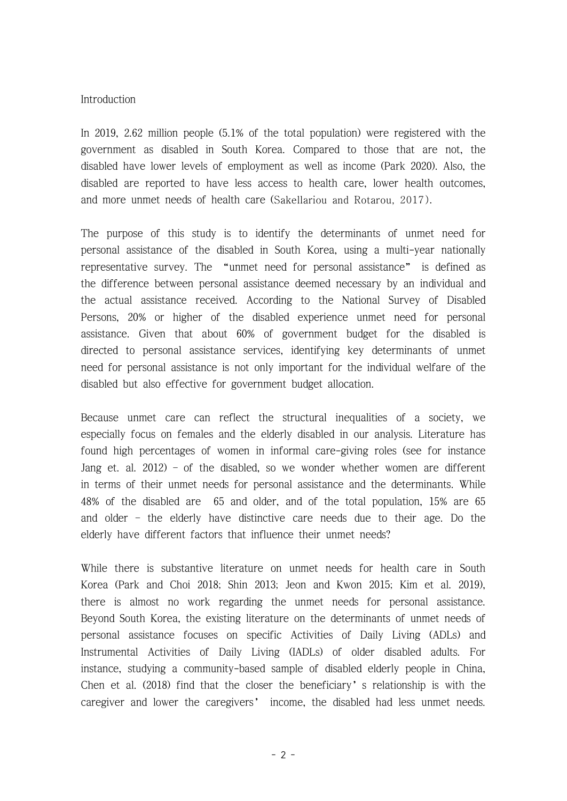#### Introduction

In 2019, 2.62 million people (5.1% of the total population) were registered with the government as disabled in South Korea. Compared to those that are not, the disabled have lower levels of employment as well as income (Park 2020). Also, the disabled are reported to have less access to health care, lower health outcomes, and more unmet needs of health care (Sakellariou and Rotarou, 2017).

The purpose of this study is to identify the determinants of unmet need for personal assistance of the disabled in South Korea, using a multi-year nationally representative survey. The "unmet need for personal assistance" is defined as the difference between personal assistance deemed necessary by an individual and the actual assistance received. According to the National Survey of Disabled Persons, 20% or higher of the disabled experience unmet need for personal assistance. Given that about 60% of government budget for the disabled is directed to personal assistance services, identifying key determinants of unmet need for personal assistance is not only important for the individual welfare of the disabled but also effective for government budget allocation.

Because unmet care can reflect the structural inequalities of a society, we especially focus on females and the elderly disabled in our analysis. Literature has found high percentages of women in informal care-giving roles (see for instance Jang et. al. 2012) – of the disabled, so we wonder whether women are different in terms of their unmet needs for personal assistance and the determinants. While 48% of the disabled are 65 and older, and of the total population, 15% are 65 and older – the elderly have distinctive care needs due to their age. Do the elderly have different factors that influence their unmet needs?

While there is substantive literature on unmet needs for health care in South Korea (Park and Choi 2018; Shin 2013; Jeon and Kwon 2015; Kim et al. 2019), there is almost no work regarding the unmet needs for personal assistance. Beyond South Korea, the existing literature on the determinants of unmet needs of personal assistance focuses on specific Activities of Daily Living (ADLs) and Instrumental Activities of Daily Living (IADLs) of older disabled adults. For instance, studying a community-based sample of disabled elderly people in China, Chen et al. (2018) find that the closer the beneficiary's relationship is with the caregiver and lower the caregivers' income, the disabled had less unmet needs.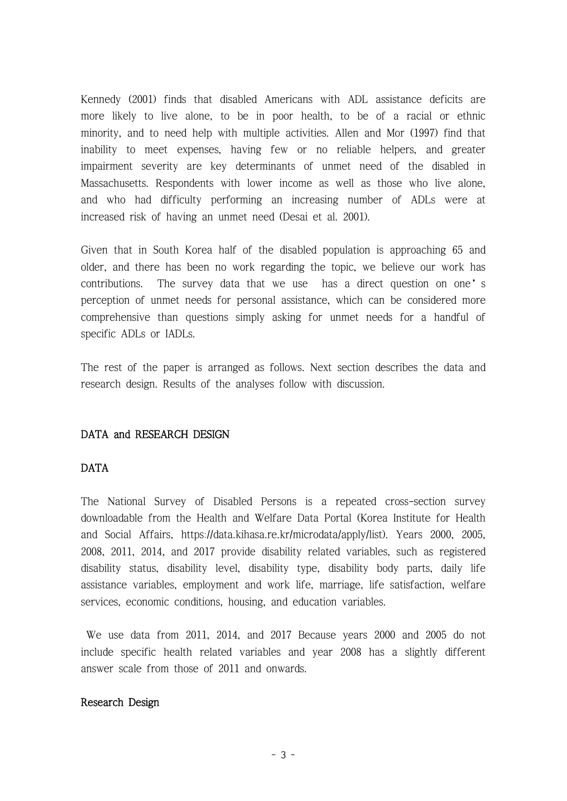Kennedy (2001) finds that disabled Americans with ADL assistance deficits are more likely to live alone, to be in poor health, to be of a racial or ethnic minority, and to need help with multiple activities. Allen and Mor (1997) find that inability to meet expenses, having few or no reliable helpers, and greater impairment severity are key determinants of unmet need of the disabled in Massachusetts. Respondents with lower income as well as those who live alone, and who had difficulty performing an increasing number of ADLs were at

increased risk of having an unmet need (Desai et al. 2001). Given that in South Korea half of the disabled population is approaching 65 and older, and there has been no work regarding the topic, we believe our work has contributions. The survey data that we use has a direct question on one's perception of unmet needs for personal assistance, which can be considered more comprehensive than questions simply asking for unmet needs for a handful of specific ADLs or IADLs.

The rest of the paper is arranged as follows. Next section describes the data and research design. Results of the analyses follow with discussion.

# DATA and RESEARCH DESIGN

# DATA

The National Survey of Disabled Persons is a repeated cross-section survey downloadable from the Health and Welfare Data Portal (Korea Institute for Health and Social Affairs, https://data.kihasa.re.kr/microdata/apply/list). Years 2000, 2005, 2008, 2011, 2014, and 2017 provide disability related variables, such as registered disability status, disability level, disability type, disability body parts, daily life assistance variables, employment and work life, marriage, life satisfaction, welfare services, economic conditions, housing, and education variables.

We use data from 2011, 2014, and 2017 Because years 2000 and 2005 do not include specific health related variables and year 2008 has a slightly different answer scale from those of 2011 and onwards.

# Research Design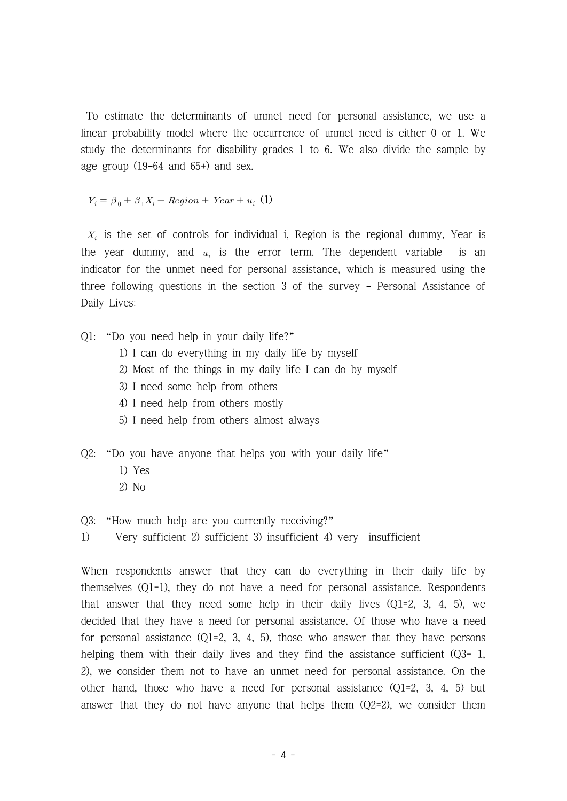To estimate the determinants of unmet need for personal assistance, we use a linear probability model where the occurrence of unmet need is either 0 or 1. We study the determinants for disability grades 1 to 6. We also divide the sample by age group (19-64 and 65+) and sex.

 $Y_i = \beta_0 + \beta_1 X_i + Region + Year + u_i$  (1)

 $X_i$  is the set of controls for individual i, Region is the regional dummy, Year is the year dummy, and  $u_i$  is the error term. The dependent variable is an indicator for the unmet need for personal assistance, which is measured using the three following questions in the section 3 of the survey - Personal Assistance of Daily Lives:

- Q1: "Do you need help in your daily life?"
	- 1) I can do everything in my daily life by myself
	- 2) Most of the things in my daily life I can do by myself
	- 3) I need some help from others
	- 4) I need help from others mostly
	- 5) I need help from others almost always
- Q2: "Do you have anyone that helps you with your daily life"
	- 1) Yes
	- 2) No

Q3: "How much help are you currently receiving?"

1) Very sufficient 2) sufficient 3) insufficient 4) very insufficient

When respondents answer that they can do everything in their daily life by themselves (Q1=1), they do not have a need for personal assistance. Respondents that answer that they need some help in their daily lives  $(Q1=2, 3, 4, 5)$ , we decided that they have a need for personal assistance. Of those who have a need for personal assistance  $(Q_1=2, 3, 4, 5)$ , those who answer that they have persons helping them with their daily lives and they find the assistance sufficient (Q3= 1, 2), we consider them not to have an unmet need for personal assistance. On the other hand, those who have a need for personal assistance (Q1=2, 3, 4, 5) but answer that they do not have anyone that helps them  $(Q2=2)$ , we consider them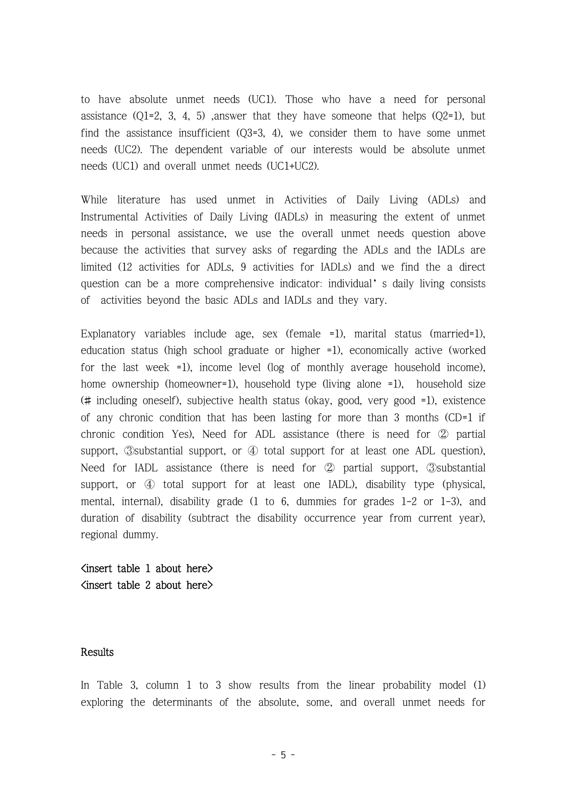to have absolute unmet needs (UC1). Those who have a need for personal assistance  $(Q1=2, 3, 4, 5)$  ,answer that they have someone that helps  $(Q2=1)$ , but find the assistance insufficient (Q3=3, 4), we consider them to have some unmet needs (UC2). The dependent variable of our interests would be absolute unmet needs (UC1) and overall unmet needs (UC1+UC2).

While literature has used unmet in Activities of Daily Living (ADLs) and Instrumental Activities of Daily Living (IADLs) in measuring the extent of unmet needs in personal assistance, we use the overall unmet needs question above because the activities that survey asks of regarding the ADLs and the IADLs are limited (12 activities for ADLs, 9 activities for IADLs) and we find the a direct question can be a more comprehensive indicator: individual's daily living consists of activities beyond the basic ADLs and IADLs and they vary.

Explanatory variables include age, sex (female =1), marital status (married=1), education status (high school graduate or higher =1), economically active (worked for the last week =1), income level (log of monthly average household income), home ownership (homeowner=1), household type (living alone =1), household size (# including oneself), subjective health status (okay, good, very good =1), existence of any chronic condition that has been lasting for more than 3 months (CD=1 if chronic condition Yes), Need for ADL assistance (there is need for ② partial support, ③substantial support, or ④ total support for at least one ADL question), Need for IADL assistance (there is need for ② partial support, ③substantial support, or  $\Phi$  total support for at least one IADL), disability type (physical, mental, internal), disability grade (1 to 6, dummies for grades 1-2 or 1-3), and duration of disability (subtract the disability occurrence year from current year), regional dummy.

 $\langle$ insert table 1 about here $\rangle$ <insert table 2 about here>

# **Results**

In Table 3, column 1 to 3 show results from the linear probability model (1) exploring the determinants of the absolute, some, and overall unmet needs for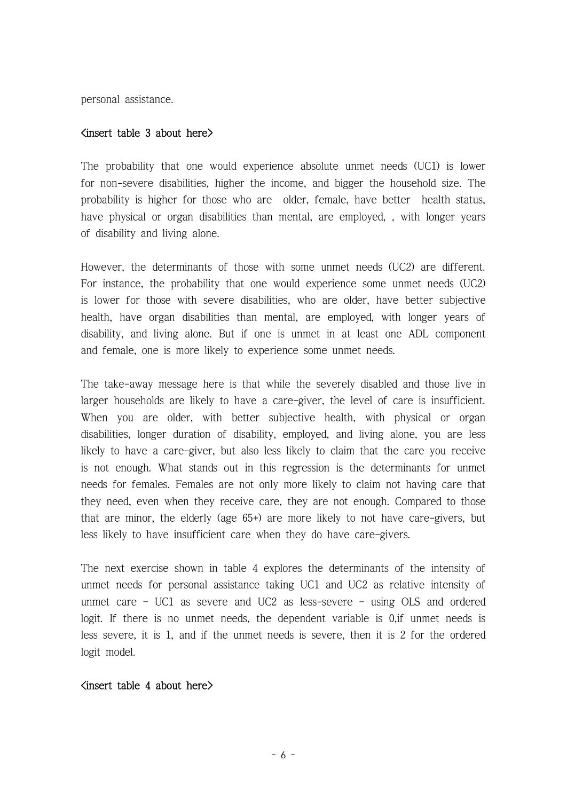personal assistance.

#### $\langle$ insert table 3 about here $\rangle$

The probability that one would experience absolute unmet needs (UC1) is lower for non-severe disabilities, higher the income, and bigger the household size. The probability is higher for those who are older, female, have better health status, have physical or organ disabilities than mental, are employed, , with longer years of disability and living alone.

However, the determinants of those with some unmet needs (UC2) are different. For instance, the probability that one would experience some unmet needs (UC2) is lower for those with severe disabilities, who are older, have better subjective health, have organ disabilities than mental, are employed, with longer years of disability, and living alone. But if one is unmet in at least one ADL component and female, one is more likely to experience some unmet needs.

The take-away message here is that while the severely disabled and those live in larger households are likely to have a care-giver, the level of care is insufficient. When you are older, with better subjective health, with physical or organ disabilities, longer duration of disability, employed, and living alone, you are less likely to have a care-giver, but also less likely to claim that the care you receive is not enough. What stands out in this regression is the determinants for unmet needs for females. Females are not only more likely to claim not having care that they need, even when they receive care, they are not enough. Compared to those that are minor, the elderly (age 65+) are more likely to not have care-givers, but less likely to have insufficient care when they do have care-givers.

The next exercise shown in table 4 explores the determinants of the intensity of unmet needs for personal assistance taking UC1 and UC2 as relative intensity of unmet care – UC1 as severe and UC2 as less-severe – using OLS and ordered logit. If there is no unmet needs, the dependent variable is 0, if unmet needs is less severe, it is 1, and if the unmet needs is severe, then it is 2 for the ordered logit model.

#### $<sub>1</sub>$  insert table 4 about here $>$ </sub>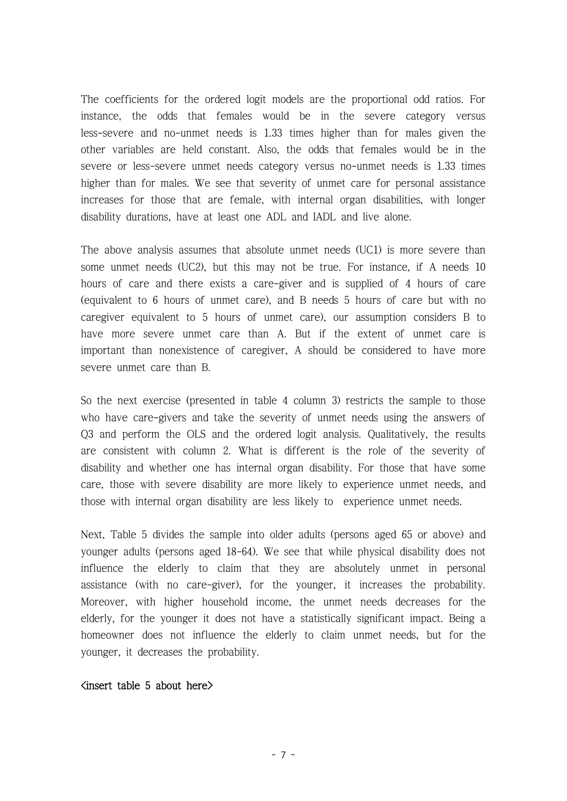The coefficients for the ordered logit models are the proportional odd ratios. For instance, the odds that females would be in the severe category versus less-severe and no-unmet needs is 1.33 times higher than for males given the other variables are held constant. Also, the odds that females would be in the severe or less-severe unmet needs category versus no-unmet needs is 1.33 times higher than for males. We see that severity of unmet care for personal assistance increases for those that are female, with internal organ disabilities, with longer disability durations, have at least one ADL and IADL and live alone.

The above analysis assumes that absolute unmet needs (UC1) is more severe than some unmet needs (UC2), but this may not be true. For instance, if A needs 10 hours of care and there exists a care-giver and is supplied of 4 hours of care (equivalent to 6 hours of unmet care), and B needs 5 hours of care but with no caregiver equivalent to 5 hours of unmet care), our assumption considers B to have more severe unmet care than A. But if the extent of unmet care is important than nonexistence of caregiver, A should be considered to have more severe unmet care than B.

So the next exercise (presented in table 4 column 3) restricts the sample to those who have care-givers and take the severity of unmet needs using the answers of Q3 and perform the OLS and the ordered logit analysis. Qualitatively, the results are consistent with column 2. What is different is the role of the severity of disability and whether one has internal organ disability. For those that have some care, those with severe disability are more likely to experience unmet needs, and those with internal organ disability are less likely to experience unmet needs.

Next, Table 5 divides the sample into older adults (persons aged 65 or above) and younger adults (persons aged 18-64). We see that while physical disability does not influence the elderly to claim that they are absolutely unmet in personal assistance (with no care-giver), for the younger, it increases the probability. Moreover, with higher household income, the unmet needs decreases for the elderly, for the younger it does not have a statistically significant impact. Being a homeowner does not influence the elderly to claim unmet needs, but for the younger, it decreases the probability.

# $S$  about here  $\geq$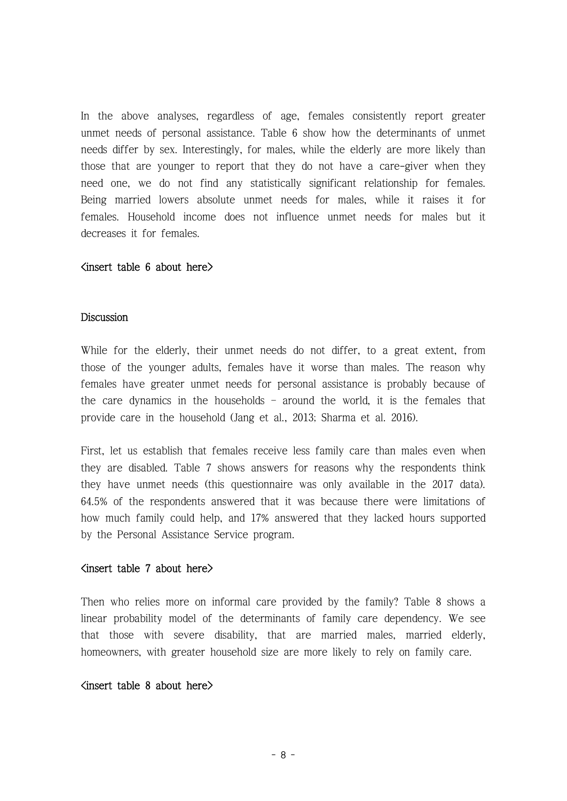In the above analyses, regardless of age, females consistently report greater unmet needs of personal assistance. Table 6 show how the determinants of unmet needs differ by sex. Interestingly, for males, while the elderly are more likely than those that are younger to report that they do not have a care-giver when they need one, we do not find any statistically significant relationship for females. Being married lowers absolute unmet needs for males, while it raises it for females. Household income does not influence unmet needs for males but it decreases it for females.

#### $\langle$ insert table 6 about here $\rangle$

#### **Discussion**

While for the elderly, their unmet needs do not differ, to a great extent, from those of the younger adults, females have it worse than males. The reason why females have greater unmet needs for personal assistance is probably because of the care dynamics in the households – around the world, it is the females that provide care in the household (Jang et al., 2013; Sharma et al. 2016).

First, let us establish that females receive less family care than males even when they are disabled. Table 7 shows answers for reasons why the respondents think they have unmet needs (this questionnaire was only available in the 2017 data). 64.5% of the respondents answered that it was because there were limitations of how much family could help, and 17% answered that they lacked hours supported by the Personal Assistance Service program.

#### $\langle$ insert table 7 about here $\rangle$

Then who relies more on informal care provided by the family? Table 8 shows a linear probability model of the determinants of family care dependency. We see that those with severe disability, that are married males, married elderly, homeowners, with greater household size are more likely to rely on family care.

# $<sub>insert</sub> table 8 about here$ </sub>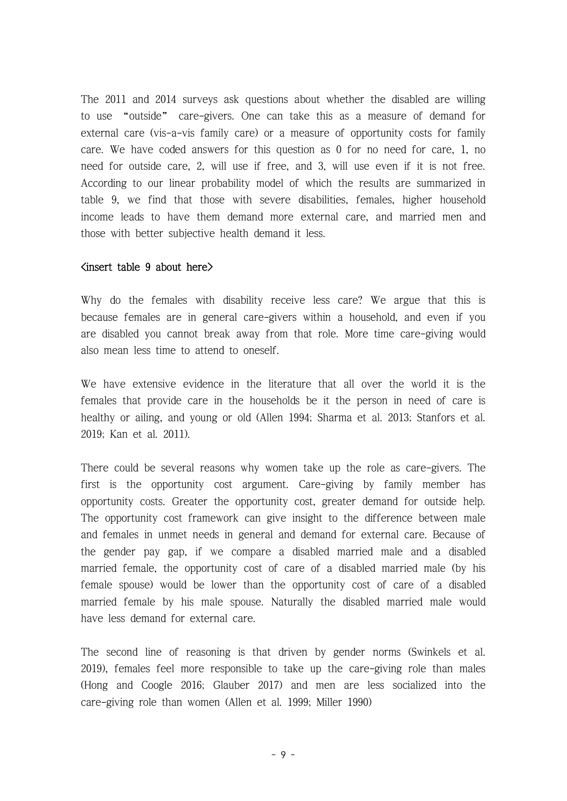The 2011 and 2014 surveys ask questions about whether the disabled are willing to use "outside" care-givers. One can take this as a measure of demand for external care (vis-a-vis family care) or a measure of opportunity costs for family care. We have coded answers for this question as 0 for no need for care, 1, no need for outside care, 2, will use if free, and 3, will use even if it is not free. According to our linear probability model of which the results are summarized in table 9, we find that those with severe disabilities, females, higher household income leads to have them demand more external care, and married men and those with better subjective health demand it less.

# $\langle$ insert table 9 about here $\rangle$

Why do the females with disability receive less care? We argue that this is because females are in general care-givers within a household, and even if you are disabled you cannot break away from that role. More time care-giving would also mean less time to attend to oneself.

We have extensive evidence in the literature that all over the world it is the females that provide care in the households be it the person in need of care is healthy or ailing, and young or old (Allen 1994; Sharma et al. 2013; Stanfors et al. 2019; Kan et al. 2011).

There could be several reasons why women take up the role as care-givers. The first is the opportunity cost argument. Care-giving by family member has opportunity costs. Greater the opportunity cost, greater demand for outside help. The opportunity cost framework can give insight to the difference between male and females in unmet needs in general and demand for external care. Because of the gender pay gap, if we compare a disabled married male and a disabled married female, the opportunity cost of care of a disabled married male (by his female spouse) would be lower than the opportunity cost of care of a disabled married female by his male spouse. Naturally the disabled married male would have less demand for external care.

The second line of reasoning is that driven by gender norms (Swinkels et al. 2019), females feel more responsible to take up the care-giving role than males (Hong and Coogle 2016; Glauber 2017) and men are less socialized into the care-giving role than women (Allen et al. 1999; Miller 1990)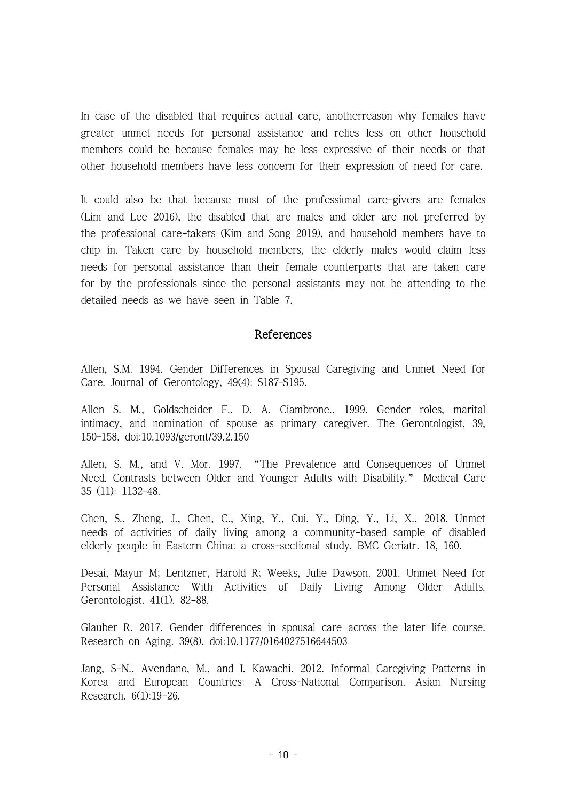In case of the disabled that requires actual care, anotherreason why females have greater unmet needs for personal assistance and relies less on other household members could be because females may be less expressive of their needs or that other household members have less concern for their expression of need for care.

It could also be that because most of the professional care-givers are females (Lim and Lee 2016), the disabled that are males and older are not preferred by the professional care-takers (Kim and Song 2019), and household members have to chip in. Taken care by household members, the elderly males would claim less needs for personal assistance than their female counterparts that are taken care for by the professionals since the personal assistants may not be attending to the detailed needs as we have seen in Table 7.

# References

Allen, S.M. 1994. Gender Differences in Spousal Caregiving and Unmet Need for Care. Journal of Gerontology, 49(4): S187–S195.

Allen S. M., Goldscheider F., D. A. Ciambrone., 1999. Gender roles, marital intimacy, and nomination of spouse as primary caregiver. The Gerontologist, 39, 150–158. doi:10.1093/geront/39.2.150

Allen, S. M., and V. Mor. 1997. "The Prevalence and Consequences of Unmet Need. Contrasts between Older and Younger Adults with Disability." Medical Care 35 (11): 1132–48.

Chen, S., Zheng, J., Chen, C., Xing, Y., Cui, Y., Ding, Y., Li, X., 2018. Unmet needs of activities of daily living among a community-based sample of disabled elderly people in Eastern China: a cross-sectional study. BMC Geriatr. 18, 160.

Desai, Mayur M; Lentzner, Harold R; Weeks, Julie Dawson. 2001. Unmet Need for Personal Assistance With Activities of Daily Living Among Older Adults. Gerontologist. 41(1). 82-88.

Glauber R. 2017. Gender differences in spousal care across the later life course. Research on Aging. 39(8). doi:10.1177/0164027516644503

Jang, S-N., Avendano, M., and I. Kawachi. 2012. Informal Caregiving Patterns in Korea and European Countries: A Cross-National Comparison. Asian Nursing Research. 6(1):19-26.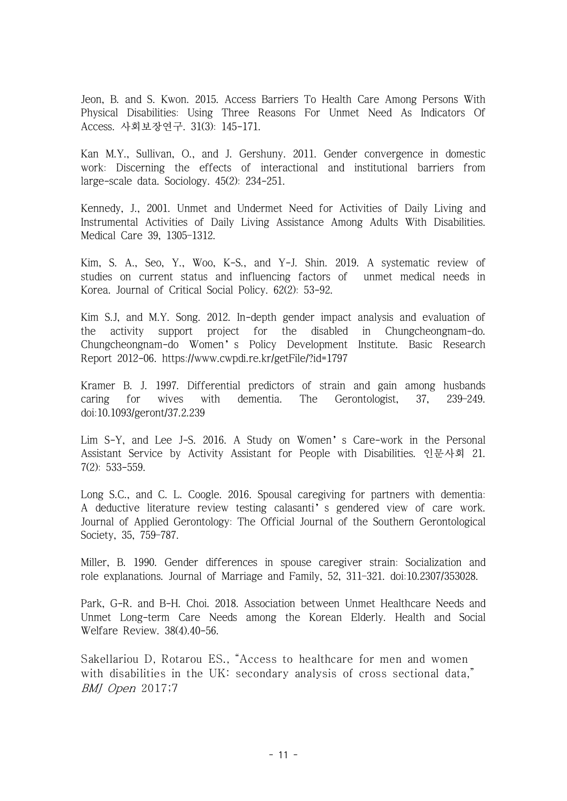Jeon, B. and S. Kwon. 2015. Access Barriers To Health Care Among Persons With Physical Disabilities: Using Three Reasons For Unmet Need As Indicators Of Access. 사회보장연구. 31(3): 145-171.

Kan M.Y., Sullivan, O., and J. Gershuny. 2011. Gender convergence in domestic work: Discerning the effects of interactional and institutional barriers from large-scale data. Sociology. 45(2): 234-251.

Kennedy, J., 2001. Unmet and Undermet Need for Activities of Daily Living and Instrumental Activities of Daily Living Assistance Among Adults With Disabilities. Medical Care 39, 1305–1312.

Kim, S. A., Seo, Y., Woo, K-S., and Y-J. Shin. 2019. A systematic review of studies on current status and influencing factors of unmet medical needs in Korea. Journal of Critical Social Policy. 62(2): 53-92.

Kim S.J, and M.Y. Song. 2012. In-depth gender impact analysis and evaluation of the activity support project for the disabled in Chungcheongnam-do. Chungcheongnam-do Women's Policy Development Institute. Basic Research Report 2012-06.<https://www.cwpdi.re.kr/getFile/?id=1797>

Kramer B. J. 1997. Differential predictors of strain and gain among husbands caring for wives with dementia. The Gerontologist, 37, 239–249. doi:10.1093/geront/37.2.239

Lim S-Y, and Lee J-S. 2016. A Study on Women's Care-work in the Personal Assistant Service by Activity Assistant for People with Disabilities. 인문사회 21. 7(2): 533-559.

Long S.C., and C. L. Coogle. 2016. Spousal caregiving for partners with dementia: A deductive literature review testing calasanti's gendered view of care work. Journal of Applied Gerontology: The Official Journal of the Southern Gerontological Society, 35, 759–787.

Miller, B. 1990. Gender differences in spouse caregiver strain: Socialization and role explanations. Journal of Marriage and Family, 52, 311–321. doi:10.2307/353028.

Park, G-R. and B-H. Choi. 2018. Association between Unmet Healthcare Needs and Unmet Long-term Care Needs among the Korean Elderly. Health and Social Welfare Review. 38(4).40-56.

Sakellariou D, Rotarou ES., "Access to healthcare for men and women with disabilities in the UK: secondary analysis of cross sectional data," BMJ Open 2017;7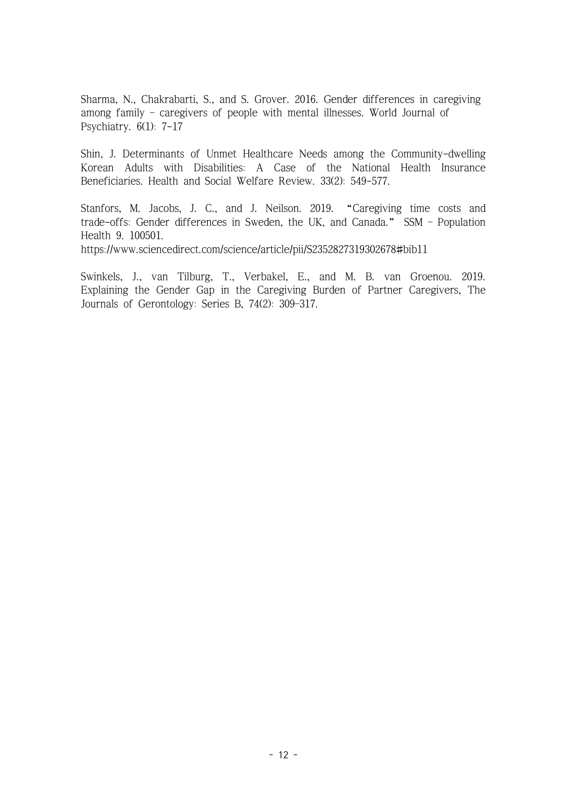Sharma, N., Chakrabarti, S., and S. Grover. 2016. Gender differences in caregiving among family – caregivers of people with mental illnesses. World Journal of Psychiatry. 6(1): 7-17

Shin, J. Determinants of Unmet Healthcare Needs among the Community-dwelling Korean Adults with Disabilities: A Case of the National Health Insurance Beneficiaries. Health and Social Welfare Review. 33(2): 549-577.

Stanfors, M. Jacobs, J. C., and J. Neilson. 2019. "Caregiving time costs and trade-offs: Gender differences in Sweden, the UK, and Canada." SSM – Population Health 9. 100501.

<https://www.sciencedirect.com/science/article/pii/S2352827319302678#bib11>

Swinkels, J., van Tilburg, T., Verbakel, E., and M. B. van Groenou. 2019. Explaining the Gender Gap in the Caregiving Burden of Partner Caregivers, The Journals of Gerontology: Series B, 74(2): 309–317.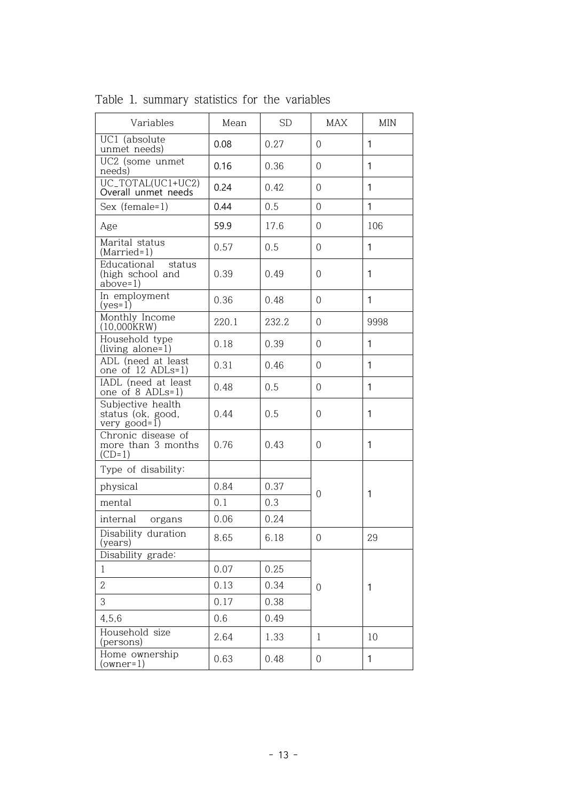| Variables                                                | Mean  | $\operatorname{SD}$ | MAX            | <b>MIN</b>   |
|----------------------------------------------------------|-------|---------------------|----------------|--------------|
| UC1 (absolute<br>unmet needs)                            | 0.08  | 0.27                | $\Omega$       | 1            |
| $\overline{UC2}$ (some unmet<br>needs)                   | 0.16  | 0.36                | $\overline{0}$ | 1            |
| UC_TOTAL(UC1+UC2)<br>Overall unmet needs                 | 0.24  | 0.42                | $\overline{0}$ | 1            |
| Sex (female=1)                                           | 0.44  | 0.5                 | $\overline{0}$ | $\mathbf{1}$ |
| Age                                                      | 59.9  | 17.6                | $\overline{0}$ | 106          |
| Marital status<br>$(Married=1)$                          | 0.57  | 0.5                 | $\mathbf 0$    | $\mathbf{1}$ |
| Educational<br>status<br>(high school and<br>$above=1)$  | 0.39  | 0.49                | $\overline{0}$ | $\mathbf{1}$ |
| In employment<br>$(yes=1)$                               | 0.36  | 0.48                | $\overline{0}$ | $\mathbf{1}$ |
| Monthly Income<br>$(10,000$ $KRW)$                       | 220.1 | 232.2               | $\overline{0}$ | 9998         |
| Household type<br>(living alone=1)                       | 0.18  | 0.39                | $\Omega$       | $\mathbf{1}$ |
| ADL (need at least<br>one of 12 ADLs=1)                  | 0.31  | 0.46                | $\overline{0}$ | 1            |
| IADL (need at least<br>one of 8 ADLs=1)                  | 0.48  | 0.5                 | $\Omega$       | 1            |
| Subjective health<br>status (ok, good,<br>very $good=1)$ | 0.44  | 0.5                 | $\overline{0}$ | 1            |
| Chronic disease of<br>more than 3 months<br>$(CD=1)$     | 0.76  | 0.43                | $\overline{0}$ | $\mathbf{1}$ |
| Type of disability:                                      |       |                     |                |              |
| physical                                                 | 0.84  | 0.37                | $\mathbf 0$    | 1            |
| mental                                                   | 0.1   | 0.3                 |                |              |
| internal<br>organs                                       | 0.06  | 0.24                |                |              |
| Disability duration<br>(years)                           | 8.65  | 6.18                | $\overline{0}$ | 29           |
| Disability grade:                                        |       |                     |                |              |
| $\mathbf{1}$                                             | 0.07  | 0.25                |                |              |
| $\overline{2}$                                           | 0.13  | 0.34                | $\mathbf 0$    | 1            |
| 3                                                        | 0.17  | 0.38                |                |              |
| 4,5,6                                                    | 0.6   | 0.49                |                |              |
| Household size<br>(persons)                              | 2.64  | 1.33                | $\mathbf{1}$   | 10           |
| Home ownership<br>(owner1)                               | 0.63  | 0.48                | $\mathbf 0$    | $\mathbf{1}$ |

Table 1. summary statistics for the variables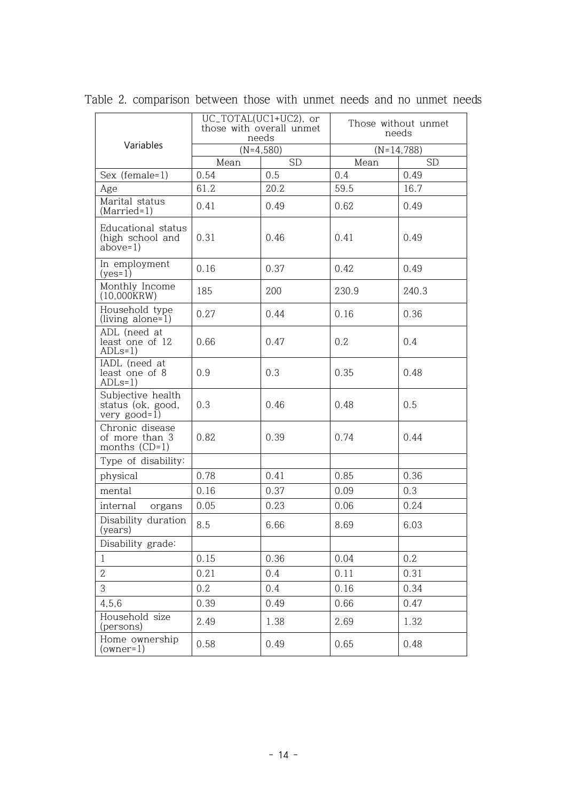|                                                            | UC_TOTAL(UC1+UC2), or<br>those with overall unmet<br>needs |             | Those without unmet<br>needs |              |  |
|------------------------------------------------------------|------------------------------------------------------------|-------------|------------------------------|--------------|--|
| Variables                                                  |                                                            | $(N=4,580)$ |                              | $(N=14,788)$ |  |
|                                                            | Mean                                                       | <b>SD</b>   | Mean                         | <b>SD</b>    |  |
| Sex (female=1)                                             | 0.54                                                       | 0.5         | 0.4                          | 0.49         |  |
| Age                                                        | 61.2                                                       | 20.2        | 59.5                         | 16.7         |  |
| Marital status<br>$(Married=1)$                            | 0.41                                                       | 0.49        | 0.62                         | 0.49         |  |
| Educational status<br>(high school and<br>$above=1)$       | 0.31                                                       | 0.46        | 0.41                         | 0.49         |  |
| In employment<br>$(yes=1)$                                 | 0.16                                                       | 0.37        | 0.42                         | 0.49         |  |
| Monthly Income<br>$(10,000$ $KRW)$                         | 185                                                        | 200         | 230.9                        | 240.3        |  |
| Household type<br>(living alone=1)                         | 0.27                                                       | 0.44        | 0.16                         | 0.36         |  |
| ADL (need at<br>least one of 12<br>$ADLs=1)$               | 0.66                                                       | 0.47        | 0.2                          | 0.4          |  |
| IADL (need at<br>least one of 8<br>$ADLs=1)$               | 0.9                                                        | 0.3         | 0.35                         | 0.48         |  |
| Subjective health<br>status (ok, good,<br>very $good = 1)$ | 0.3                                                        | 0.46        | 0.48                         | 0.5          |  |
| Chronic disease<br>of more than 3<br>months $(CD=1)$       | 0.82                                                       | 0.39        | 0.74                         | 0.44         |  |
| Type of disability:                                        |                                                            |             |                              |              |  |
| physical                                                   | 0.78                                                       | 0.41        | 0.85                         | 0.36         |  |
| mental                                                     | 0.16                                                       | 0.37        | 0.09                         | 0.3          |  |
| internal<br>organs                                         | 0.05                                                       | 0.23        | 0.06                         | 0.24         |  |
| Disability duration<br>(years)                             | 8.5                                                        | 6.66        | 8.69                         | 6.03         |  |
| Disability grade:                                          |                                                            |             |                              |              |  |
| $\mathbf{1}$                                               | 0.15                                                       | 0.36        | 0.04                         | 0.2          |  |
| $\overline{2}$                                             | 0.21                                                       | 0.4         | 0.11                         | 0.31         |  |
| 3                                                          | 0.2                                                        | 0.4         | 0.16                         | 0.34         |  |
| 4,5,6                                                      | 0.39                                                       | 0.49        | 0.66                         | 0.47         |  |
| Household size<br>(persons)                                | 2.49                                                       | 1.38        | 2.69                         | 1.32         |  |
| Home ownership<br>(owner1)                                 | 0.58                                                       | 0.49        | 0.65                         | 0.48         |  |

Table 2. comparison between those with unmet needs and no unmet needs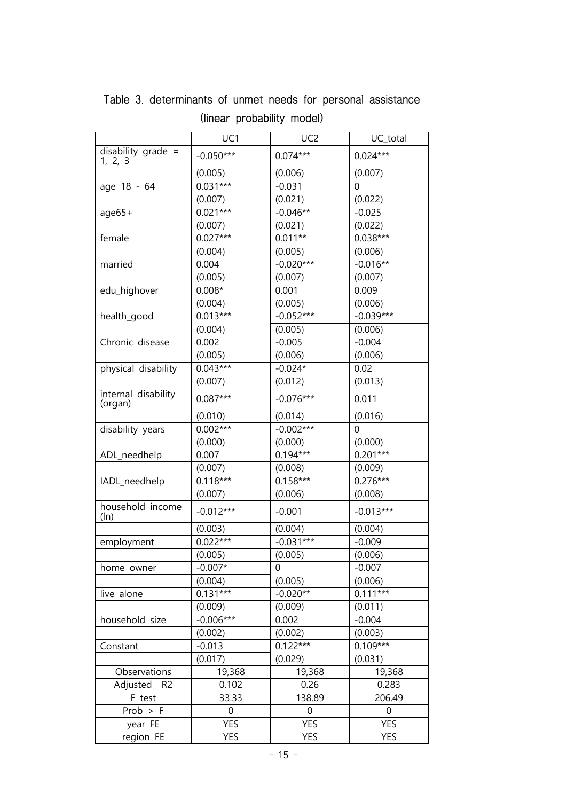|                                 | UC1         | UC <sub>2</sub> | UC_total       |  |
|---------------------------------|-------------|-----------------|----------------|--|
| disability grade $=$<br>1, 2, 3 | $-0.050***$ | $0.074***$      | $0.024***$     |  |
|                                 | (0.005)     | (0.006)         | (0.007)        |  |
| age 18 - 64                     | $0.031***$  | $-0.031$        | 0              |  |
|                                 | (0.007)     | (0.021)         | (0.022)        |  |
| $age65+$                        | $0.021***$  | $-0.046**$      | $-0.025$       |  |
|                                 | (0.007)     | (0.021)         | (0.022)        |  |
| female                          | $0.027***$  | $0.011**$       | $0.038***$     |  |
|                                 | (0.004)     | (0.005)         | (0.006)        |  |
| married                         | 0.004       | $-0.020***$     | $-0.016**$     |  |
|                                 | (0.005)     | (0.007)         | (0.007)        |  |
| edu_highover                    | $0.008*$    | 0.001           | 0.009          |  |
|                                 | (0.004)     | (0.005)         | (0.006)        |  |
| health_good                     | $0.013***$  | $-0.052***$     | $-0.039***$    |  |
|                                 | (0.004)     | (0.005)         | (0.006)        |  |
| Chronic disease                 | 0.002       | $-0.005$        | $-0.004$       |  |
|                                 | (0.005)     | (0.006)         | (0.006)        |  |
| physical disability             | $0.043***$  | $-0.024*$       | 0.02           |  |
|                                 | (0.007)     | (0.012)         | (0.013)        |  |
| internal disability<br>(organ)  | $0.087***$  | $-0.076***$     | 0.011          |  |
|                                 | (0.010)     | (0.014)         | (0.016)        |  |
| disability years                | $0.002***$  | $-0.002***$     | $\overline{0}$ |  |
|                                 | (0.000)     | (0.000)         | (0.000)        |  |
| ADL_needhelp                    | 0.007       | $0.194***$      | $0.201***$     |  |
|                                 | (0.007)     | (0.008)         | (0.009)        |  |
| IADL_needhelp                   | $0.118***$  | $0.158***$      | $0.276***$     |  |
|                                 | (0.007)     | (0.006)         | (0.008)        |  |
| household income<br>(ln)        | $-0.012***$ | $-0.001$        | $-0.013***$    |  |
|                                 | (0.003)     | (0.004)         | (0.004)        |  |
| employment                      | $0.022***$  | $-0.031***$     | $-0.009$       |  |
|                                 | (0.005)     | (0.005)         | (0.006)        |  |
| home owner                      | $-0.007*$   | 0               | $-0.007$       |  |
|                                 | (0.004)     | (0.005)         | (0.006)        |  |
| live alone                      | $0.131***$  | $-0.020**$      | $0.111***$     |  |
|                                 | (0.009)     | (0.009)         | (0.011)        |  |
| household size                  | $-0.006***$ | 0.002           | $-0.004$       |  |
|                                 | (0.002)     | (0.002)         | (0.003)        |  |
| Constant                        | $-0.013$    | $0.122***$      | $0.109***$     |  |
|                                 | (0.017)     | (0.029)         | (0.031)        |  |
| Observations                    | 19,368      | 19,368          | 19,368         |  |
| Adjusted<br>R <sub>2</sub>      | 0.102       | 0.26            | 0.283          |  |
| F test                          | 33.33       | 138.89          | 206.49         |  |
| $Prob$ > $F$                    | 0           | 0               | $\mathbf 0$    |  |
| year FE                         | <b>YES</b>  | <b>YES</b>      | <b>YES</b>     |  |
| region FE                       | YES         | <b>YES</b>      | YES            |  |

Table 3. determinants of unmet needs for personal assistance (linear probability model)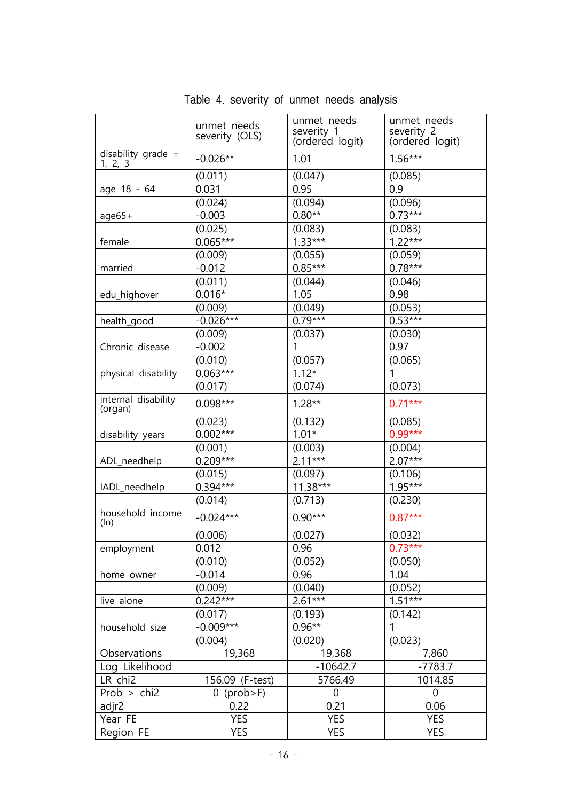|                                 | unmet needs<br>severity (OLS) | unmet needs<br>severity <sub>1</sub><br>(ordered logit) | unmet needs<br>severity <sub>2</sub><br>(ordered logit) |
|---------------------------------|-------------------------------|---------------------------------------------------------|---------------------------------------------------------|
| disability grade $=$<br>1, 2, 3 | $-0.026**$                    | 1.01                                                    | $1.56***$                                               |
|                                 | (0.011)                       | (0.047)                                                 | (0.085)                                                 |
| age 18 - 64                     | 0.031                         | 0.95                                                    | 0.9                                                     |
|                                 | (0.024)                       | (0.094)                                                 | (0.096)                                                 |
| $age65+$                        | $-0.003$                      | $0.80**$                                                | $0.73***$                                               |
|                                 | (0.025)                       | (0.083)                                                 | (0.083)                                                 |
| female                          | $0.065***$                    | $1.33***$                                               | $1.22***$                                               |
|                                 | (0.009)                       | (0.055)                                                 | (0.059)                                                 |
| married                         | $-0.012$                      | $0.85***$                                               | $0.78***$                                               |
|                                 | (0.011)                       | (0.044)                                                 | (0.046)                                                 |
| edu_highover                    | $0.016*$                      | 1.05                                                    | 0.98                                                    |
|                                 | (0.009)                       | (0.049)                                                 | (0.053)                                                 |
| health_good                     | $-0.026***$                   | $0.79***$                                               | $0.53***$                                               |
|                                 | (0.009)                       | (0.037)                                                 | (0.030)                                                 |
| Chronic disease                 | $-0.002$                      | 1                                                       | 0.97                                                    |
|                                 | (0.010)                       | (0.057)                                                 | (0.065)                                                 |
| physical disability             | $0.063***$                    | $1.12*$                                                 | 1                                                       |
|                                 | (0.017)                       | (0.074)                                                 | (0.073)                                                 |
| internal disability<br>(organ)  | $0.098***$                    | $1.28**$                                                | $0.71***$                                               |
|                                 | (0.023)                       | (0.132)                                                 | (0.085)                                                 |
| disability years                | $0.002***$                    | $1.01*$                                                 | $0.99***$                                               |
|                                 | (0.001)                       | (0.003)                                                 | (0.004)                                                 |
| ADL_needhelp                    | $0.209***$                    | $2.11***$                                               | $2.07***$                                               |
|                                 | (0.015)                       | (0.097)                                                 | (0.106)                                                 |
| IADL_needhelp                   | $0.394***$                    | $11.38***$                                              | $1.95***$                                               |
|                                 | (0.014)                       | (0.713)                                                 | (0.230)                                                 |
| household income<br>(ln)        | $-0.024***$                   | $0.90***$                                               | $0.87***$                                               |
|                                 | (0.006)                       | (0.027)                                                 | (0.032)                                                 |
| employment                      | 0.012                         | 0.96                                                    | $0.73***$                                               |
|                                 | (0.010)                       | (0.052)                                                 | (0.050)                                                 |
| home owner                      | $-0.014$                      | 0.96                                                    | 1.04                                                    |
|                                 | (0.009)                       | (0.040)                                                 | (0.052)                                                 |
| live alone                      | $0.242***$                    | $2.61***$                                               | $1.51***$                                               |
|                                 | (0.017)                       | (0.193)                                                 | (0.142)                                                 |
| household size                  | $-0.009***$                   | $0.96**$                                                | 1                                                       |
|                                 | (0.004)                       | (0.020)                                                 | (0.023)                                                 |
| Observations                    | 19,368                        | 19,368                                                  | 7,860                                                   |
| Log Likelihood                  |                               | $-10642.7$                                              | $-7783.7$                                               |
| LR chi2                         | 156.09 (F-test)               | 5766.49                                                 | 1014.85                                                 |
| Prob $>$ chi2                   | $0$ (prob > F)                | 0                                                       | $\mathbf 0$                                             |
| adjr2                           | 0.22                          | 0.21                                                    | 0.06                                                    |
| Year FE                         | <b>YES</b>                    | <b>YES</b>                                              | <b>YES</b>                                              |
| Region FE                       | <b>YES</b>                    | <b>YES</b>                                              | <b>YES</b>                                              |

Table 4. severity of unmet needs analysis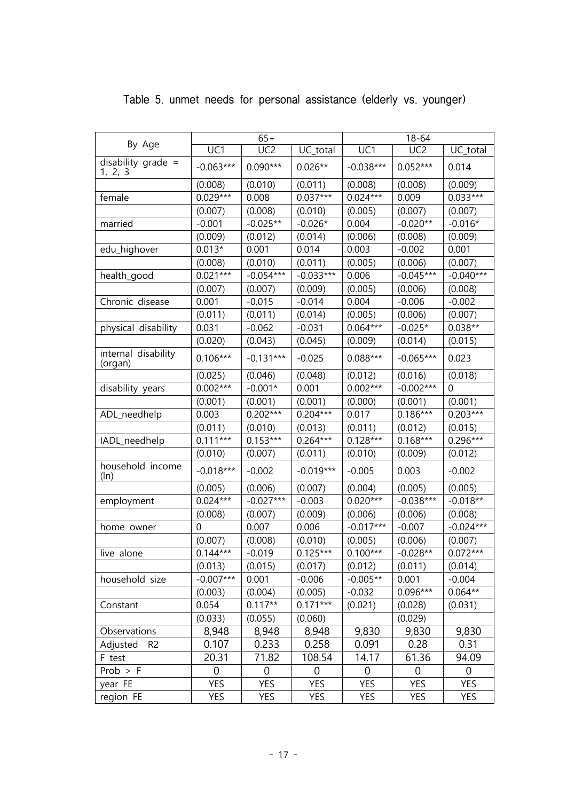|                                 |                | $65+$           |                | $18 - 64$      |                 |             |
|---------------------------------|----------------|-----------------|----------------|----------------|-----------------|-------------|
| By Age                          | UC1            | UC <sub>2</sub> | UC_total       | UC1            | UC <sub>2</sub> | UC_total    |
| disability grade $=$<br>1, 2, 3 | $-0.063***$    | $0.090***$      | $0.026**$      | $-0.038***$    | $0.052***$      | 0.014       |
|                                 | (0.008)        | (0.010)         | (0.011)        | (0.008)        | (0.008)         | (0.009)     |
| female                          | $0.029***$     | 0.008           | $0.037***$     | $0.024***$     | 0.009           | $0.033***$  |
|                                 | (0.007)        | (0.008)         | (0.010)        | (0.005)        | (0.007)         | (0.007)     |
| married                         | $-0.001$       | $-0.025**$      | $-0.026*$      | 0.004          | $-0.020**$      | $-0.016*$   |
|                                 | (0.009)        | (0.012)         | (0.014)        | (0.006)        | (0.008)         | (0.009)     |
| edu_highover                    | $0.013*$       | 0.001           | 0.014          | 0.003          | $-0.002$        | 0.001       |
|                                 | (0.008)        | (0.010)         | (0.011)        | (0.005)        | (0.006)         | (0.007)     |
| health_good                     | $0.021***$     | $-0.054***$     | $-0.033***$    | 0.006          | $-0.045***$     | $-0.040***$ |
|                                 | (0.007)        | (0.007)         | (0.009)        | (0.005)        | (0.006)         | (0.008)     |
| Chronic disease                 | 0.001          | $-0.015$        | $-0.014$       | 0.004          | $-0.006$        | $-0.002$    |
|                                 | (0.011)        | (0.011)         | (0.014)        | (0.005)        | (0.006)         | (0.007)     |
| physical disability             | 0.031          | $-0.062$        | $-0.031$       | $0.064***$     | $-0.025*$       | $0.038**$   |
|                                 | (0.020)        | (0.043)         | (0.045)        | (0.009)        | (0.014)         | (0.015)     |
| internal disability<br>(organ)  | $0.106***$     | $-0.131***$     | $-0.025$       | $0.088***$     | $-0.065***$     | 0.023       |
|                                 | (0.025)        | (0.046)         | (0.048)        | (0.012)        | (0.016)         | (0.018)     |
| disability years                | $0.002***$     | $-0.001*$       | 0.001          | $0.002***$     | $-0.002***$     | 0           |
|                                 | (0.001)        | (0.001)         | (0.001)        | (0.000)        | (0.001)         | (0.001)     |
| ADL_needhelp                    | 0.003          | $0.202***$      | $0.204***$     | 0.017          | $0.186***$      | $0.203***$  |
|                                 | (0.011)        | (0.010)         | (0.013)        | (0.011)        | (0.012)         | (0.015)     |
| IADL_needhelp                   | $0.111***$     | $0.153***$      | $0.264***$     | $0.128***$     | $0.168***$      | $0.296***$  |
|                                 | (0.010)        | (0.007)         | (0.011)        | (0.010)        | (0.009)         | (0.012)     |
| household income<br>(ln)        | $-0.018***$    | $-0.002$        | $-0.019***$    | $-0.005$       | 0.003           | $-0.002$    |
|                                 | (0.005)        | (0.006)         | (0.007)        | (0.004)        | (0.005)         | (0.005)     |
| employment                      | $0.024***$     | $-0.027***$     | $-0.003$       | $0.020***$     | $-0.038***$     | $-0.018**$  |
|                                 | (0.008)        | (0.007)         | (0.009)        | (0.006)        | (0.006)         | (0.008)     |
| home owner                      | 0              | 0.007           | 0.006          | $-0.017***$    | $-0.007$        | $-0.024***$ |
|                                 | (0.007)        | (0.008)         | (0.010)        | (0.005)        | (0.006)         | (0.007)     |
| live alone                      | $0.144***$     | $-0.019$        | $0.125***$     | $0.100***$     | $-0.028**$      | $0.072***$  |
|                                 | (0.013)        | (0.015)         | (0.017)        | (0.012)        | (0.011)         | (0.014)     |
| household size                  | $-0.007***$    | 0.001           | $-0.006$       | $-0.005**$     | 0.001           | $-0.004$    |
|                                 | (0.003)        | (0.004)         | (0.005)        | $-0.032$       | $0.096***$      | $0.064**$   |
| Constant                        | 0.054          | $0.117**$       | $0.171***$     | (0.021)        | (0.028)         | (0.031)     |
|                                 | (0.033)        | (0.055)         | (0.060)        |                | (0.029)         |             |
| Observations                    | 8,948          | 8,948           | 8,948          | 9,830          | 9,830           | 9,830       |
| Adjusted<br>R <sub>2</sub>      | 0.107          | 0.233           | 0.258          | 0.091          | 0.28            | 0.31        |
| F test                          | 20.31          | 71.82           | 108.54         | 14.17          | 61.36           | 94.09       |
| $Prob$ > $F$                    | $\overline{0}$ | 0               | $\overline{0}$ | $\overline{0}$ | $\overline{0}$  | 0           |
| year FE                         | <b>YES</b>     | <b>YES</b>      | <b>YES</b>     | <b>YES</b>     | <b>YES</b>      | <b>YES</b>  |
| region FE                       | <b>YES</b>     | YES             | YES            | YES            | <b>YES</b>      | YES         |

# Table 5. unmet needs for personal assistance (elderly vs. younger)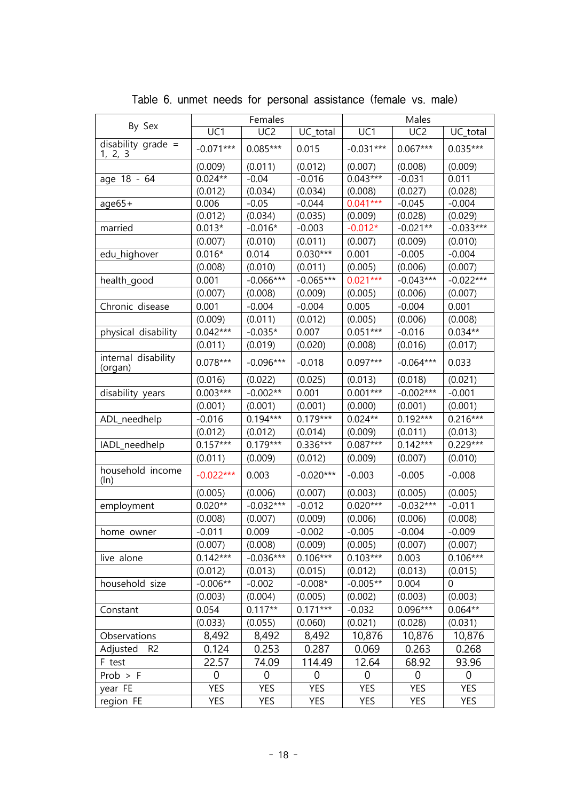| By Sex<br>UC1<br>UC <sub>2</sub><br>UC1<br>UC <sub>2</sub><br>UC_total<br>UC_total<br>disability grade $=$<br>$0.085***$<br>$-0.071***$<br>$-0.031***$<br>$0.035***$<br>0.015<br>$0.067***$<br><u>1, 2, 3</u><br>(0.007)<br>(0.008)<br>(0.009)<br>(0.011)<br>(0.012)<br>(0.009) |
|---------------------------------------------------------------------------------------------------------------------------------------------------------------------------------------------------------------------------------------------------------------------------------|
|                                                                                                                                                                                                                                                                                 |
|                                                                                                                                                                                                                                                                                 |
|                                                                                                                                                                                                                                                                                 |
| $0.024**$<br>$-0.04$<br>$0.043***$<br>$-0.016$<br>$-0.031$<br>0.011<br>age 18 - 64                                                                                                                                                                                              |
| (0.034)<br>(0.027)<br>(0.028)<br>(0.012)<br>(0.034)<br>(0.008)                                                                                                                                                                                                                  |
| $0.041***$<br>$-0.05$<br>0.006<br>$-0.044$<br>$-0.045$<br>$-0.004$<br>$age65+$                                                                                                                                                                                                  |
| (0.012)<br>(0.034)<br>(0.028)<br>(0.035)<br>(0.009)<br>(0.029)                                                                                                                                                                                                                  |
| $-0.033***$<br>$0.013*$<br>$-0.016*$<br>$-0.003$<br>$-0.012*$<br>$-0.021**$<br>married                                                                                                                                                                                          |
| (0.007)<br>(0.010)<br>(0.011)<br>(0.007)<br>(0.009)<br>(0.010)                                                                                                                                                                                                                  |
| $0.030***$<br>$0.016*$<br>0.014<br>0.001<br>$-0.005$<br>$-0.004$<br>edu_highover                                                                                                                                                                                                |
| (0.010)<br>(0.005)<br>(0.006)<br>(0.008)<br>(0.011)<br>(0.007)                                                                                                                                                                                                                  |
| $0.021***$<br>$-0.066***$<br>$-0.065***$<br>$-0.043***$<br>$-0.022***$<br>0.001<br>health_good                                                                                                                                                                                  |
| (0.007)<br>(0.008)<br>(0.009)<br>(0.005)<br>(0.006)<br>(0.007)                                                                                                                                                                                                                  |
| $-0.004$<br>$-0.004$<br>0.005<br>$-0.004$<br>0.001<br>0.001<br>Chronic disease                                                                                                                                                                                                  |
| (0.009)<br>(0.011)<br>(0.012)<br>(0.005)<br>(0.006)<br>(0.008)                                                                                                                                                                                                                  |
| $0.051***$<br>$0.042***$<br>$0.034**$<br>$-0.035*$<br>0.007<br>$-0.016$<br>physical disability                                                                                                                                                                                  |
| (0.019)<br>(0.020)<br>(0.008)<br>(0.016)<br>(0.011)<br>(0.017)                                                                                                                                                                                                                  |
| internal disability<br>$0.078***$<br>$0.097***$<br>$-0.096***$<br>$-0.064***$<br>0.033<br>$-0.018$<br>(organ)                                                                                                                                                                   |
| (0.022)<br>(0.013)<br>(0.018)<br>(0.021)<br>(0.016)<br>(0.025)                                                                                                                                                                                                                  |
| $0.003***$<br>$-0.002**$<br>0.001<br>$0.001***$<br>$-0.002***$<br>$-0.001$<br>disability years                                                                                                                                                                                  |
| (0.001)<br>(0.001)<br>(0.001)<br>(0.001)<br>(0.000)<br>(0.001)                                                                                                                                                                                                                  |
| $0.192***$<br>$0.194***$<br>$0.179***$<br>$0.024**$<br>$0.216***$<br>$-0.016$<br>ADL_needhelp                                                                                                                                                                                   |
| (0.012)<br>(0.012)<br>(0.014)<br>(0.009)<br>(0.011)<br>(0.013)                                                                                                                                                                                                                  |
| $0.179***$<br>$0.142***$<br>$0.229***$<br>$0.157***$<br>$0.336***$<br>$0.087***$<br>IADL_needhelp                                                                                                                                                                               |
| (0.011)<br>(0.009)<br>(0.009)<br>(0.007)<br>(0.010)<br>(0.012)                                                                                                                                                                                                                  |
| household income<br>$-0.022***$<br>0.003<br>$-0.020***$<br>$-0.003$<br>$-0.005$<br>$-0.008$<br>$(\ln)$                                                                                                                                                                          |
| (0.005)<br>(0.006)<br>(0.007)<br>(0.003)<br>(0.005)<br>(0.005)                                                                                                                                                                                                                  |
| $0.020**$<br>$-0.032***$<br>$0.020***$<br>$-0.032***$<br>$-0.012$<br>$-0.011$<br>employment                                                                                                                                                                                     |
| (0.008)<br>(0.006)<br>(0.008)<br>(0.007)<br>(0.009)<br>(0.006)                                                                                                                                                                                                                  |
| $-0.005$<br>$-0.011$<br>0.009<br>$-0.002$<br>$-0.004$<br>$-0.009$<br>home owner                                                                                                                                                                                                 |
| (0.007)<br>(0.008)<br>(0.009)<br>(0.005)<br>(0.007)<br>(0.007)                                                                                                                                                                                                                  |
| $0.142***$<br>$-0.036***$<br>$0.106***$<br>$0.103***$<br>$0.106***$<br>0.003<br>live alone                                                                                                                                                                                      |
| (0.013)<br>(0.012)<br>(0.013)<br>(0.012)<br>(0.015)<br>(0.015)                                                                                                                                                                                                                  |
| $-0.006**$<br>$-0.002$<br>$-0.005**$<br>household size<br>$-0.008*$<br>0.004<br>$\theta$                                                                                                                                                                                        |
| (0.004)<br>(0.003)<br>(0.005)<br>(0.002)<br>(0.003)<br>(0.003)                                                                                                                                                                                                                  |
| $0.171***$<br>$0.117**$<br>$0.096***$<br>$0.064**$<br>0.054<br>$-0.032$<br>Constant                                                                                                                                                                                             |
| (0.033)<br>(0.055)<br>(0.021)<br>(0.028)<br>(0.031)<br>(0.060)                                                                                                                                                                                                                  |
| 8,492<br>10,876<br>10,876<br>Observations<br>8,492<br>8,492<br>10,876                                                                                                                                                                                                           |
| 0.287<br>0.124<br>0.253<br>0.069<br>0.263<br>0.268<br>Adjusted<br>R <sub>2</sub>                                                                                                                                                                                                |
| 93.96<br>22.57<br>74.09<br>114.49<br>12.64<br>68.92<br>F test                                                                                                                                                                                                                   |
| $Prob$ > $F$<br>0<br>$\mathbf 0$<br>0<br>0<br>$\overline{0}$<br>0                                                                                                                                                                                                               |
| <b>YES</b><br><b>YES</b><br><b>YES</b><br><b>YES</b><br>year FE<br><b>YES</b><br><b>YES</b>                                                                                                                                                                                     |
| <b>YES</b><br>region FE<br>YES<br>YES<br>YES<br>YES<br>YES                                                                                                                                                                                                                      |

Table 6. unmet needs for personal assistance (female vs. male)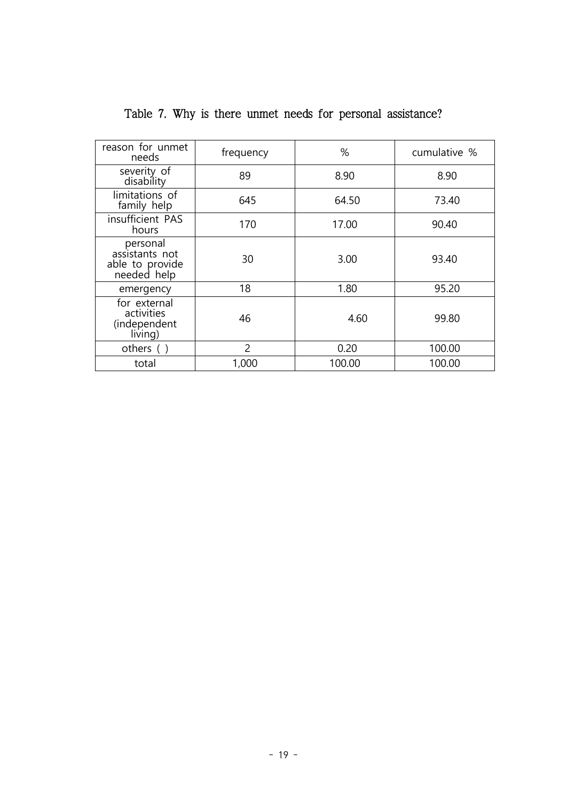| reason for unmet<br>needs                                    | frequency      | %      | cumulative % |
|--------------------------------------------------------------|----------------|--------|--------------|
| severity of<br>disability                                    | 89             | 8.90   | 8.90         |
| limitations of<br>family help                                | 645            | 64.50  | 73.40        |
| insufficient PAS<br>hours                                    | 170            | 17.00  | 90.40        |
| personal<br>assistants not<br>able to provide<br>needed help | 30             | 3.00   | 93.40        |
| emergency                                                    | 18             | 1.80   | 95.20        |
| for external<br>activities<br>(independent<br>living)        | 46             | 4.60   | 99.80        |
| others $( )$                                                 | $\overline{2}$ | 0.20   | 100.00       |
| total                                                        | 1,000          | 100.00 | 100.00       |

Table 7. Why is there unmet needs for personal assistance?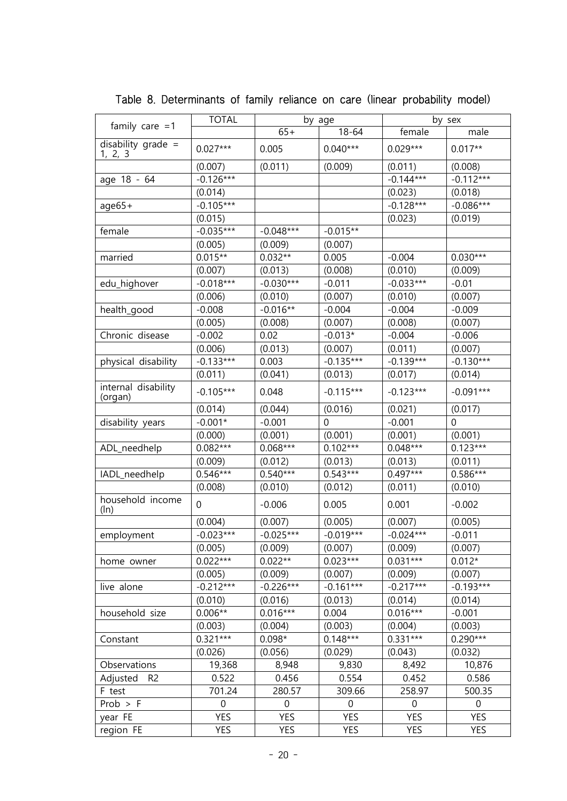|                                 | <b>TOTAL</b> | by age           |                  |                  | by sex           |
|---------------------------------|--------------|------------------|------------------|------------------|------------------|
| family care $=1$                |              | $65+$            | $18 - 64$        | female           | male             |
| disability grade $=$<br>1, 2, 3 | $0.027***$   | 0.005            | $0.040***$       | $0.029***$       | $0.017**$        |
|                                 | (0.007)      | (0.011)          | (0.009)          | (0.011)          | (0.008)          |
| age 18 - 64                     | $-0.126***$  |                  |                  | $-0.144***$      | $-0.112***$      |
|                                 | (0.014)      |                  |                  | (0.023)          | (0.018)          |
| $age65+$                        | $-0.105***$  |                  |                  | $-0.128***$      | $-0.086***$      |
|                                 | (0.015)      |                  |                  | (0.023)          | (0.019)          |
| female                          | $-0.035***$  | $-0.048***$      | $-0.015**$       |                  |                  |
|                                 | (0.005)      | (0.009)          | (0.007)          |                  |                  |
| married                         | $0.015**$    | $0.032**$        | 0.005            | $-0.004$         | $0.030***$       |
|                                 | (0.007)      | (0.013)          | (0.008)          | (0.010)          | (0.009)          |
| edu_highover                    | $-0.018***$  | $-0.030***$      | $-0.011$         | $-0.033***$      | $-0.01$          |
|                                 | (0.006)      | (0.010)          | (0.007)          | (0.010)          | (0.007)          |
| health_good                     | $-0.008$     | $-0.016**$       | $-0.004$         | $-0.004$         | $-0.009$         |
|                                 | (0.005)      | (0.008)          | (0.007)          | (0.008)          | (0.007)          |
| Chronic disease                 | $-0.002$     | 0.02             | $-0.013*$        | $-0.004$         | $-0.006$         |
|                                 | (0.006)      | (0.013)          | (0.007)          | (0.011)          | (0.007)          |
| physical disability             | $-0.133***$  | 0.003            | $-0.135***$      | $-0.139***$      | $-0.130***$      |
|                                 | (0.011)      | (0.041)          | (0.013)          | (0.017)          | (0.014)          |
| internal disability<br>(organ)  | $-0.105***$  | 0.048            | $-0.115***$      | $-0.123***$      | $-0.091***$      |
|                                 | (0.014)      | (0.044)          | (0.016)          | (0.021)          | (0.017)          |
| disability years                | $-0.001*$    | $-0.001$         | $\boldsymbol{0}$ | $-0.001$         | $\mathbf 0$      |
|                                 | (0.000)      | (0.001)          | (0.001)          | (0.001)          | (0.001)          |
| ADL_needhelp                    | $0.082***$   | $0.068***$       | $0.102***$       | $0.048***$       | $0.123***$       |
|                                 | (0.009)      | (0.012)          | (0.013)          | (0.013)          | (0.011)          |
| IADL_needhelp                   | $0.546***$   | $0.540***$       | $0.543***$       | $0.497***$       | $0.586***$       |
|                                 | (0.008)      | (0.010)          | (0.012)          | (0.011)          | (0.010)          |
| household income<br>(ln)        | $\mathbf 0$  | $-0.006$         | 0.005            | 0.001            | $-0.002$         |
|                                 | (0.004)      | (0.007)          | (0.005)          | (0.007)          | (0.005)          |
| employment                      | $-0.023***$  | $-0.025***$      | $-0.019***$      | $-0.024***$      | $-0.011$         |
|                                 | (0.005)      | (0.009)          | (0.007)          | (0.009)          | (0.007)          |
| home owner                      | $0.022***$   | $0.022**$        | $0.023***$       | $0.031***$       | $0.012*$         |
|                                 | (0.005)      | (0.009)          | (0.007)          | (0.009)          | (0.007)          |
| live alone                      | $-0.212***$  | $-0.226***$      | $-0.161***$      | $-0.217***$      | $-0.193***$      |
|                                 | (0.010)      | (0.016)          | (0.013)          | (0.014)          | (0.014)          |
| household size                  | $0.006**$    | $0.016***$       | 0.004            | $0.016***$       | $-0.001$         |
|                                 | (0.003)      | (0.004)          | (0.003)          | (0.004)          | (0.003)          |
| Constant                        | $0.321***$   | $0.098*$         | $0.148***$       | $0.331***$       | $0.290***$       |
|                                 | (0.026)      | (0.056)          | (0.029)          | (0.043)          | (0.032)          |
| Observations                    | 19,368       | 8,948            | 9,830            | 8,492            | 10,876           |
| Adjusted<br>R <sub>2</sub>      | 0.522        | 0.456            | 0.554            | 0.452            | 0.586            |
| F test                          | 701.24       | 280.57           | 309.66           | 258.97           | 500.35           |
| $Prob$ > F                      | $\mathbf 0$  | $\boldsymbol{0}$ | $\mathbf 0$      | $\boldsymbol{0}$ | $\boldsymbol{0}$ |
| year FE                         | <b>YES</b>   | <b>YES</b>       | <b>YES</b>       | <b>YES</b>       | <b>YES</b>       |
| region FE                       | YES          | <b>YES</b>       | YES              | YES              | YES              |

Table 8. Determinants of family reliance on care (linear probability model)